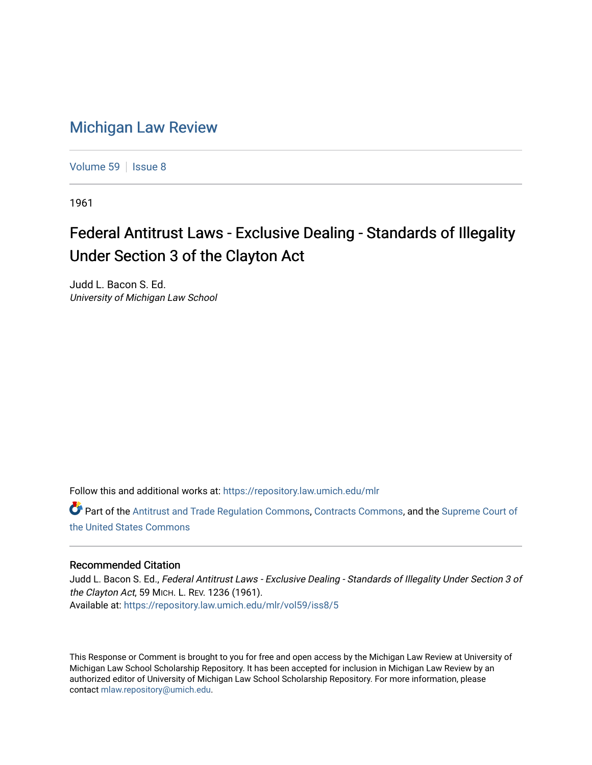# [Michigan Law Review](https://repository.law.umich.edu/mlr)

[Volume 59](https://repository.law.umich.edu/mlr/vol59) | [Issue 8](https://repository.law.umich.edu/mlr/vol59/iss8)

1961

# Federal Antitrust Laws - Exclusive Dealing - Standards of Illegality Under Section 3 of the Clayton Act

Judd L. Bacon S. Ed. University of Michigan Law School

Follow this and additional works at: [https://repository.law.umich.edu/mlr](https://repository.law.umich.edu/mlr?utm_source=repository.law.umich.edu%2Fmlr%2Fvol59%2Fiss8%2F5&utm_medium=PDF&utm_campaign=PDFCoverPages) 

Part of the [Antitrust and Trade Regulation Commons,](http://network.bepress.com/hgg/discipline/911?utm_source=repository.law.umich.edu%2Fmlr%2Fvol59%2Fiss8%2F5&utm_medium=PDF&utm_campaign=PDFCoverPages) [Contracts Commons](http://network.bepress.com/hgg/discipline/591?utm_source=repository.law.umich.edu%2Fmlr%2Fvol59%2Fiss8%2F5&utm_medium=PDF&utm_campaign=PDFCoverPages), and the [Supreme Court of](http://network.bepress.com/hgg/discipline/1350?utm_source=repository.law.umich.edu%2Fmlr%2Fvol59%2Fiss8%2F5&utm_medium=PDF&utm_campaign=PDFCoverPages)  [the United States Commons](http://network.bepress.com/hgg/discipline/1350?utm_source=repository.law.umich.edu%2Fmlr%2Fvol59%2Fiss8%2F5&utm_medium=PDF&utm_campaign=PDFCoverPages) 

# Recommended Citation

Judd L. Bacon S. Ed., Federal Antitrust Laws - Exclusive Dealing - Standards of Illegality Under Section 3 of the Clayton Act, 59 MICH. L. REV. 1236 (1961). Available at: [https://repository.law.umich.edu/mlr/vol59/iss8/5](https://repository.law.umich.edu/mlr/vol59/iss8/5?utm_source=repository.law.umich.edu%2Fmlr%2Fvol59%2Fiss8%2F5&utm_medium=PDF&utm_campaign=PDFCoverPages)

This Response or Comment is brought to you for free and open access by the Michigan Law Review at University of Michigan Law School Scholarship Repository. It has been accepted for inclusion in Michigan Law Review by an authorized editor of University of Michigan Law School Scholarship Repository. For more information, please contact [mlaw.repository@umich.edu](mailto:mlaw.repository@umich.edu).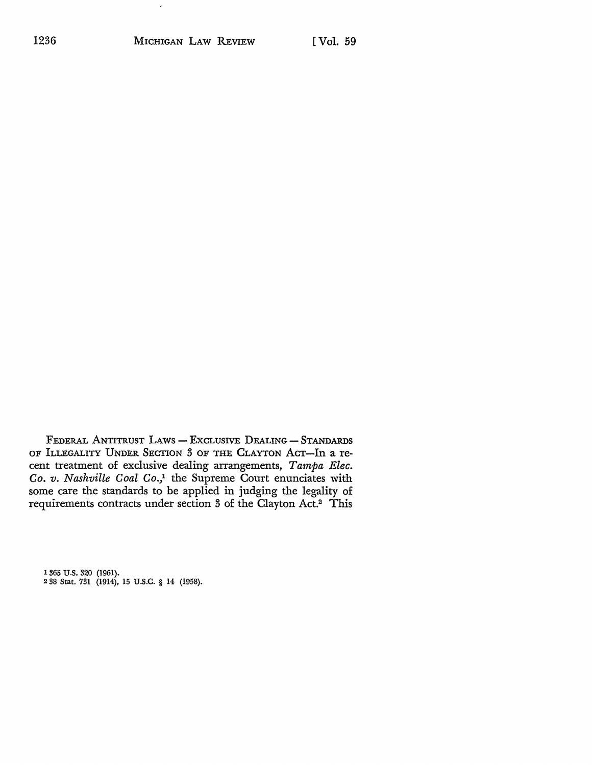$\hat{\mathbf{z}}$ 

FEDERAL ANTITRUST LAWS - EXCLUSIVE DEALING - STANDARDS OF ILLEGALITY UNDER SECTION 3 OF THE CLAYTON AcT-In a recent treatment of exclusive dealing arrangements, *Tampa Elec. Co. v. Nashville Coal Co.,1* the Supreme Court enunciates with some care the standards to be applied in judging the legality of requirements contracts under section 3 of the Clayton Act.2 This

1365 U.S. 820 (1961). 2 88 Stat. 781 (1914), 15 U.S.C. § 14 (1958).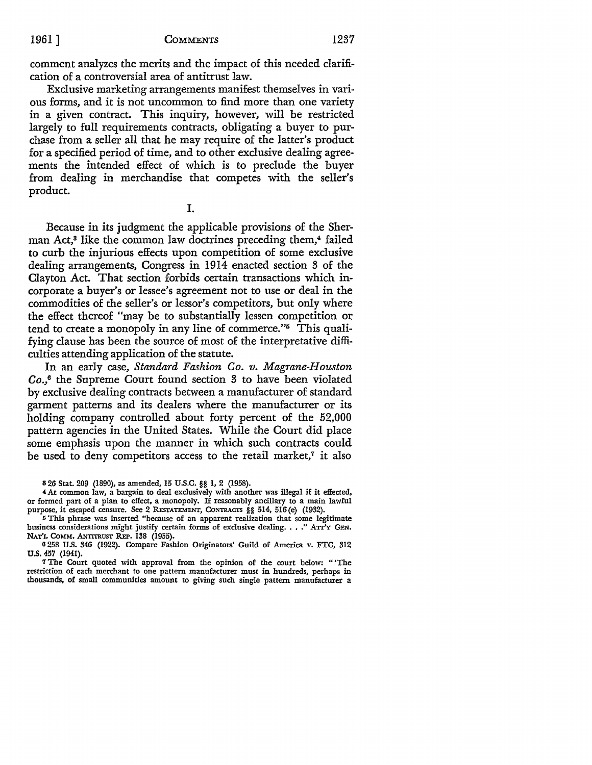comment analyzes the merits and the impact of this needed clarification of a controversial area of antitrust law.

Exclusive marketing arrangements manifest themselves in various forms, and it is not uncommon to find more than one variety in a given contract. This inquiry, however, will be restricted largely to full requirements contracts, obligating a buyer to purchase from a seller all that he may require of the latter's product for a specified period of time, and to other exclusive dealing agreements the intended effect of which is to preclude the buyer from dealing in merchandise that competes with the seller's product.

I.

Because in its judgment the applicable provisions of the Sherman Act,<sup>8</sup> like the common law doctrines preceding them,<sup>4</sup> failed to curb the injurious effects upon competition of some exclusive dealing arrangements, Congress in 1914 enacted section 3 of the Clayton Act. That section forbids certain transactions which incorporate a buyer's or lessee's agreement not to use or deal in the commodities of the seller's or lessor's competitors, but only where the effect thereof "may be to substantially lessen competition or tend to create a monopoly in any line of commerce."5 This qualifying clause has been the source of most of the interpretative difficulties attending application of the statute.

In an early case, *Standard Fashion Co. v. Magrane-Houston Co.,6* the Supreme Court found section 3 to have been violated by exclusive dealing contracts between a manufacturer of standard garment patterns and its dealers where the manufacturer or its holding company controlled about forty percent of the 52,000 pattern agencies in the United States. While the Court did place some emphasis upon the manner in which such contracts could be used to deny competitors access to the retail market,<sup> $\tau$ </sup> it also

<sup>7</sup>The Court quoted with approval from the opinion of the court below: "'The restriction of each merchant to one pattern manufacturer must in hundreds, perhaps in thousands, of small communities amount to giving such single pattern manufacturer a

a 26 Stat. 209 (1890), as amended, 15 U.S.C. §§ I, 2 (1958).

<sup>~</sup>At common law, a bargain to deal exclusively with another was illegal if it effected, or formed part of a plan to effect, a monopoly. If reasonably ancillary to a main lawful purpose, it escaped censure. See 2 REsTATEMENT, CoNTRAcrs §§ 514, 516 (e) (1932).

r; This phrase was inserted "because of an apparent realization that some legitimate business considerations might justify certain forms of exclusive dealing. . . ." ATTY GEN. NAT'L COMM. ANTITRUST REP. 138 (1955).

<sup>6</sup> 258 U.S. 346 (1922). Compare Fashion Originators' Guild of America v. FTC, 312 U.S. 457 (1941).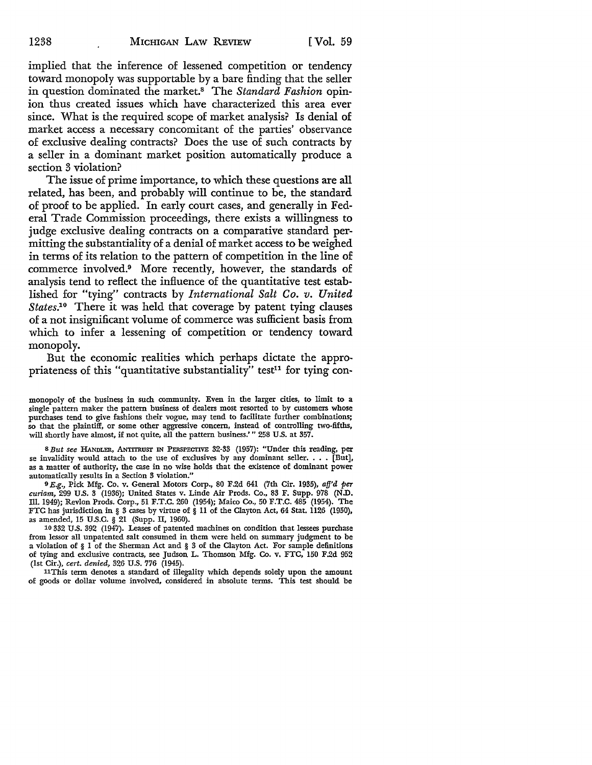implied that the inference of lessened competition or tendency toward monopoly was supportable by a bare finding that the seller in question dominated the market.8 The *Standard Fashion* opinion thus created issues which have characterized this area ever since. What is the required scope of market analysis? Is denial of market access a necessary concomitant of the parties' observance of exclusive dealing contracts? Does the use of such contracts by a seller in a dominant market position automatically produce a section 3 violation?

The issue of prime importance, to which these questions are all related, has been, and probably will continue to be, the standard of proof to be applied. In early court cases, and generally in Federal Trade Commission proceedings, there exists a willingness to judge exclusive dealing contracts on a comparative standard permitting the substantiality of a denial of market access to be weighed in terms of its relation to the pattern of competition in the line of commerce involved.9 More recently, however, the standards of analysis tend to reflect the influence of the quantitative test established for "tying" contracts by *International Salt Co. v. United States.10* There it was held that coverage by patent tying clauses of a not insignificant volume of commerce was sufficient basis from which to infer a lessening of competition or tendency toward monopoly.

But the economic realities which perhaps dictate the appropriateness of this "quantitative substantiality" test<sup>11</sup> for tying con-

monopoly of the business in such community. Even in the larger cities, to limit to a single pattern maker the pattern business of dealers most resorted to by customers whose purchases tend to give fashions their vogue, may tend to facilitate further combinations; so that the plaintiff, or some other aggressive concern, instead of controlling two-fifths, will shortly have almost, if not quite, all the pattern business.'" 258 U.S. at 357.

s *But see* HANDLER, ANTITRUST IN PERSPECTIVE 32-33 (1957): "Under this reading, per se invalidity would attach to the use of exclusives by any dominant seller. . . . [But], as a matter of authority, the case in no wise holds that the existence of dominant power automatically results in a Section 3 violation.''

9 *E.g.,* Pick Mfg. Co. v. General Motors Corp., 80 F.2d 641 (7th Cir. 1935), *afj'd per curiam,* 299 U.S. 3 (1936); United States v. Linde Air Prods. Co., 83 F. Supp. 978 **(N.D.**  Ill. 1949); Revlon Prods. Corp., 51 F.T.C. 260 (1954); Maico Co., 50 F.T.C. 485 (1954). The FTC has jurisdiction in § 3 cases by virtue of § 11 of the Clayton Act, 64 Stat. 1126 (1950), as amended, 15 U.S.C. § 21 (Supp. II, 1960).

10 332 U.S. 392 (1947). Leases of patented machines on condition that lessees purchase from lessor all unpatented salt consumed in them were held on summary judgment to be a violation of § 1 of the Sherman Act and § 3 of the Clayton Act. For sample definitions of tying and exclusive contracts, see Judson L. Thomson Mfg. Co. v. FTC, 150 F.2d 952 (1st Cir.), *cert. denied,* 326 U.S. 776 (1945).

11This term denotes a standard of illegality which depends solely upon the amount of goods or dollar volume involved, considered in absolute terms. This test should be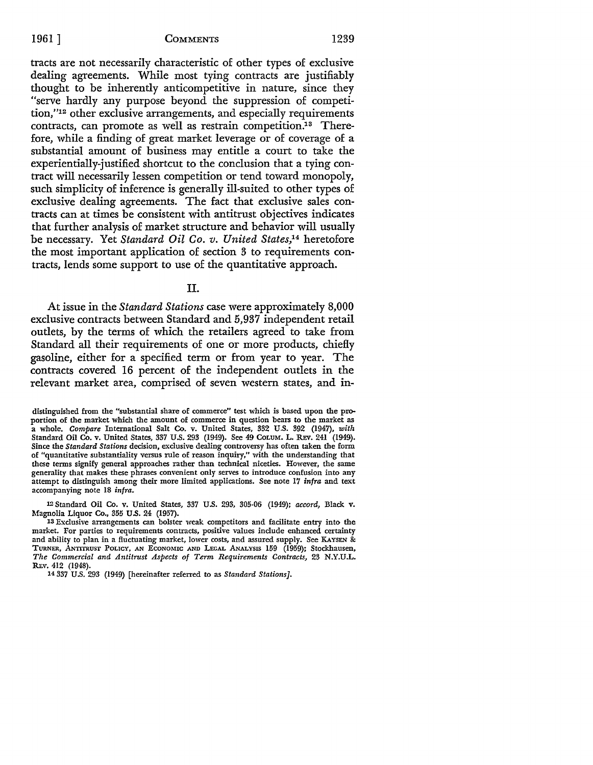tracts are not necessarily characteristic of other types of exclusive dealing agreements. While most tying contracts are justifiably thought to be inherently anticompetitive in nature, since they "serve hardly any purpose beyond the suppression of competition,"12 other exclusive arrangements, and especially requirements contracts, can promote as well as restrain competition.13 Therefore, while a finding of great market leverage or of coverage of a substantial amount of business may entitle a court to take the experientially-justified shortcut to the conclusion that a tying contract will necessarily lessen competition or tend toward monopoly, such simplicity of inference is generally ill-suited to other types of exclusive dealing agreements. The fact that exclusive sales contracts can at times be consistent with antitrust objectives indicates that further analysis of market structure and behavior will usually be necessary. Yet Standard Oil Co. v. United States,<sup>14</sup> heretofore the most important application of section 3 to requirements contracts, lends some support to use of the quantitative approach.

# II.

At issue in the *Standard Stations* case were approximately 8,000 exclusive contracts between Standard and 5,937 independent retail outlets, by the terms of which the retailers agreed to take from Standard all their requirements of one or more products, chiefly gasoline, either for a specified term or from year to year. The contracts covered 16 percent of the independent outlets in the relevant market area, comprised of seven western states, and in-

12 Standard Oil Co. v. United States, 337 U.S. 293, 305-06 (1949); *accord,* Black v. Magnolia Liquor Co., 355 U.S. 24 (1957).

distinguished from the "substantial share of commerce" test which is based upon the proportion of the market which the amount of commerce in question bears to the market as a whole. *Compare* International Salt Co. v. United States, 332 U.S. 392 (1947), *with*  Standard Oil Co. v. United States, 337 U.S. 293 (1949). See 49 CoLUM. L. REv. 241 (1949). Since the *Standard Stations* decision, exclusive dealing controversy has often taken the form of "quantitative substantiality versus rule of reason inquiry," with the understanding that these terms signify general approaches rather than technical niceties. However, the same generality that makes these phrases convenient only serves to introduce confusion into any attempt to distinguish among their more limited applications. See note 17 *infra* and text accompanying note 18 *infra.* 

<sup>13</sup> Exclusive arrangements can bolster weak competitors and facilitate entry into the market. For parties to requirements contracts, positive values include enhanced certainty and ability to plan in a fluctuating market, lower costs, and assured supply. See KAYSEN & TURNER, ANTITRUST POLICY, AN ECONOMIC AND LEGAL ANALYSIS 159 (1959); Stockhausen, *The Commercial and Antitrust Aspects of Term Requirements Contracts,* 23 N.Y.U.L. REV. 412 (1948).

<sup>14 337</sup> U.S. 293 (1949) [hereinafter referred to as *Standard Stations].*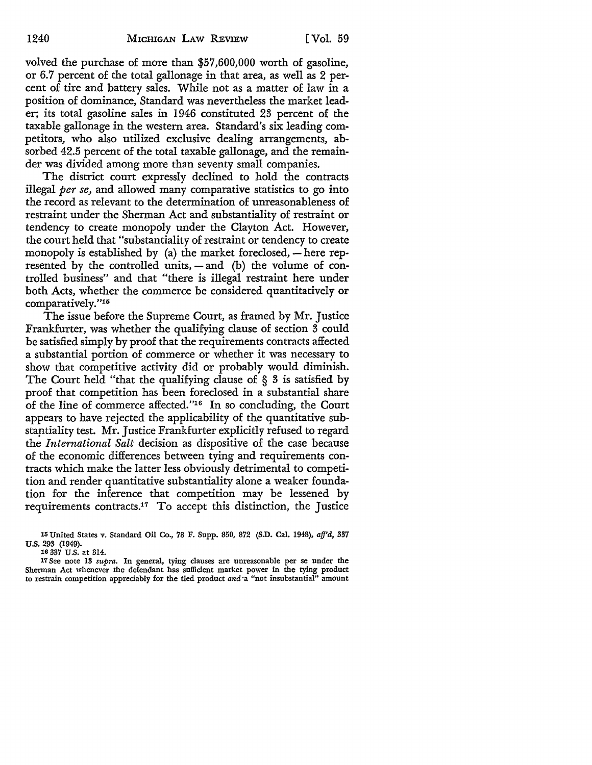volved the purchase of more than \$57,600,000 worth of gasoline, or 6. 7 percent of the total gallonage in that area, as well as 2 percent of tire and battery sales. While not as a matter of law in a position of dominance, Standard was nevertheless the market leader; its total gasoline sales in 1946 constituted 23 percent of the taxable gallonage in the western area. Standard's six leading competitors, who also utilized exclusive dealing arrangements, absorbed 42.5 percent of the total taxable gallonage, and the remainder was divided among more than seventy small companies.

The district court expressly declined to hold the contracts illegal *per se,* and allowed many comparative statistics to go into the record as relevant to the determination of unreasonableness of restraint under the Sherman Act and substantiality of restraint or tendency to create monopoly under the Clayton Act. However, the court held that "substantiality of restraint or tendency to create monopoly is established by (a) the market foreclosed,  $-$  here represented by the controlled units,  $-$  and (b) the volume of controlled business" and that "there is illegal restraint here under both Acts, whether the commerce be considered quantitatively or comparatively."<sup>15</sup>

The issue before the Supreme Court, as framed by Mr. Justice Frankfurter, was whether the qualifying clause of section 3 could be satisfied simply by proof that the requirements contracts affected a substantial portion of commerce or whether it was necessary to show that competitive activity did or probably would diminish. The Court held "that the qualifying clause of § 3 is satisfied by proof that competition has been foreclosed in a substantial share of the line of commerce affected."16 In so concluding, the Court appears to have rejected the applicability of the quantitative substaptiality test. Mr. Justice Frankfurter explicitly refused to regard the *International Salt* decision as dispositive of the case because of the economic differences between tying and requirements contracts which make the latter less obviously detrimental to competition and render quantitative substantiality alone a weaker foundation for the inference that competition may be lessened by requirements contracts.17 To accept this distinction, the Justice

17 See note 13 *supra.* In general, tying clauses are unreasonable per se under the Sherman Act whenever the defendant has sufficient market power in the tying product to restrain competition appreciably for the tied product *and·a* "not insubstantial" amount

<sup>15</sup> United States v. Standard Oil Co., 78 F. Supp. 850, 872 (S.D. Cal. 1948), aff'd, 337 U.S. 293 (1949).

<sup>16 337</sup> U.S. at 314.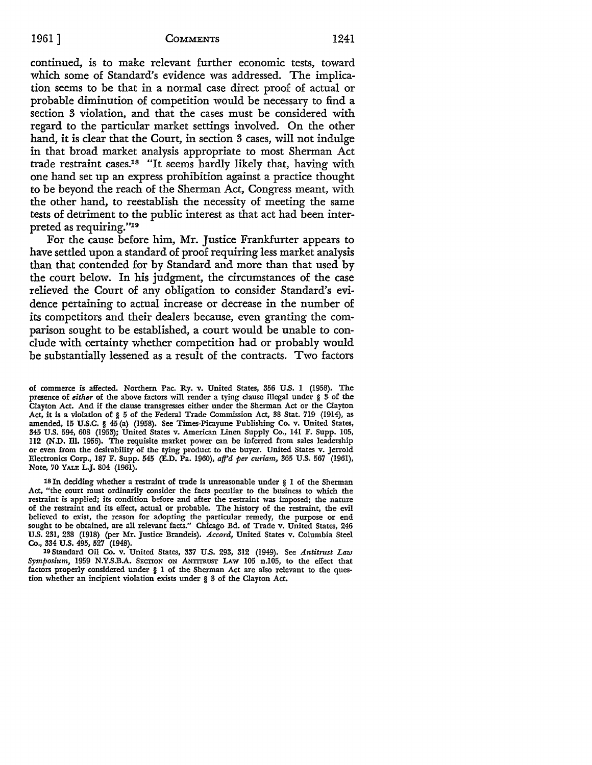continued, is to make relevant further economic tests, toward which some of Standard's evidence was addressed. The implication seems to be that in a normal case direct proof of actual or probable diminution of competition would be necessary to find a section 3 violation, and that the cases must be considered with regard to the particular market settings involved. On the other hand, it is clear that the Court, in section 3 cases, will not indulge in that broad market analysis appropriate to most Sherman Act trade restraint cases.18 "It seems hardly likely that, having with one hand set up an express prohibition against a practice thought to be beyond the reach of the Sherman Act, Congress meant, with the other hand, to reestablish the necessity of meeting the same tests of detriment to the public interest as that act had been interpreted as requiring.''19

For the cause before him, Mr. Justice Frankfurter appears to have settled upon a standard of proof requiring less market analysis than that contended for by Standard and more than that used by the court below. In his judgment, the circumstances of the case relieved the Court of any obligation to consider Standard's evidence pertaining to actual increase or decrease in the number of its competitors and their dealers because, even granting the comparison sought to be established, a court would be unable to conclude with certainty whether competition had or probably would be substantially lessened as a result of the contracts. Two factors

18 In deciding whether a restraint of trade is unreasonable under § 1 of the Sherman Act, "the court must ordinarily consider the facts peculiar to the business to which the restraint is applied; its condition before and after the restraint was imposed; the nature of the restraint and its effect, actual or probable. The history of the restraint, the evil believed to exist, the reason for adopting the particular remedy, the purpose or end sought to be obtained, are all relevant facts." Chicago Bd. of Trade v. United States, 246 U.S. 231, 238 (1918) (per Mr. Justice Brandeis). *Accord,* United States v. Columbia Steel Co., 334 U.S. 495, 527 (1948).

10 Standard Oil Co. v. United States, 337 U.S. 293, 312 (1949). See *Antitrust Law Symposium,* 1959 N.Y.S.B.A. SECTION ON ANTITRUST I.Aw 105 n.105, to the effect that factors properly considered under § I of the Sherman Act are also relevant to the question whether an incipient violation exists under § 3 of the Clayton Act.

of commerce is affected. Northern Pac. Ry. v. United States, 356 U.S. 1 (1958). The presence of *either* of the above factors will render a tying clause illegal under § 3 of the Clayton Act. And if the clause transgresses either under the Sherman Act or the Clayton Act, it is a violation of § 5 of the Federal Trade Commission Act, 38 Stat. 719 (1914), as amended, 15 U.S.C. § 45 (a) (1958). See Times-Picayune Publishing Co. v. United States, !145 U.S. 594, 608 (1953); United States v. American Linen Supply Co., 141 F. Supp. 105, 112 (N.D. Ill. 1956). The requisite market power can be inferred from sales leadership or even from the desirability of the tying product to the buyer. United States v. Jerrold Electronics Corp., 187 F. Supp. 545 (E.D. Pa. 1960), *aff'd per curiam,* 365 U.S. 567 (1961), Note, 70 YALE L.J. 804 (1961).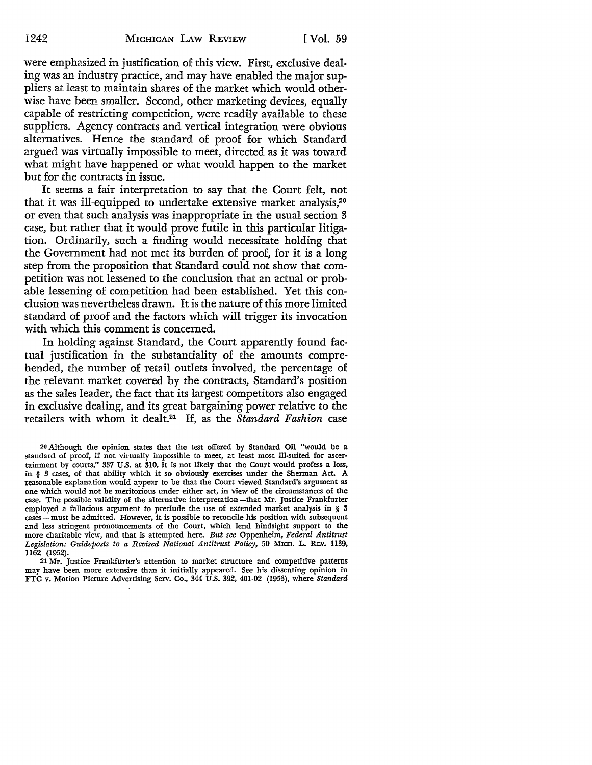were emphasized in justification of this view. First, exclusive dealing was an industry practice, and may have enabled the major suppliers at least to maintain shares of the market which would otherwise have been smaller. Second, other marketing devices, equally capable of restricting competition, were readily available to these suppliers. Agency contracts and vertical integration were obvious alternatives. Hence the standard of proof for which Standard argued was virtually impossible to meet, directed as it was toward what might have happened or what would happen to the market but for the contracts in issue.

It seems a fair interpretation to say that the Court felt, not that it was ill-equipped to undertake extensive market analysis,<sup>20</sup> or even that such analysis was inappropriate in the usual section 3 case, but rather that it would prove futile in this particular litigation. Ordinarily, such a finding would necessitate holding that the Government had not met its burden of proof, for it is a long step from the proposition that Standard could not show that competition was not lessened to the conclusion that an actual or probable lessening of competition had been established. Yet this conclusion was nevertheless drawn. It is the nature of this more limited standard of proof and the factors which will trigger its invocation with which this comment is concerned.

In holding against Standard, the Court apparently found factual justification in the substantiality of the amounts comprehended, the number of retail outlets involved, the percentage of the relevant market covered by the contracts, Standard's position as the sales leader, the fact that its largest competitors also engaged in exclusive dealing, and its great bargaining power relative to the retailers with whom it dealt.21 If, as the *Standard Fashion* case

21 Mr. Justice Frankfurter's attention to market structure and competitive patterns may have been more extensive than it initially appeared. See his dissenting opinion in FTC v. Motion Picture Advertising Serv. Co., 344 U.S. 392, 401-02 (1953), where *Standard* 

<sup>20</sup> Although the opinion states that the test offered by Standard Oil "would be a standard of proof, if not virtually impossible to meet, at least most ill-suited for ascertainment by courts," 337 U.S. at 310, it is not likely that the Court would profess a loss, in § 3 cases, of that ability which it so obviously exercises under the Sherman Act. A reasonable explanation would appear to be that the Court viewed Standard's argument as one which would not be meritorious under either act, in view of the circumstances of the case. The possible validity of the alternative interpretation -that Mr. Justice Frankfurter employed a fallacious argument to preclude the use of extended market analysis in  $\S$  3 cases - must be admitted. However, it is possible to reconcile his position with subsequent and less stringent pronouncements of the Court, which lend hindsight support to the more charitable view, and that is attempted here. *But see* Oppenheim, *Federal Antitrust Legislation: Guideposts to a Revised National Antitrust Policy,* 50 MICH. L. REv. 1139, 1162 (1952).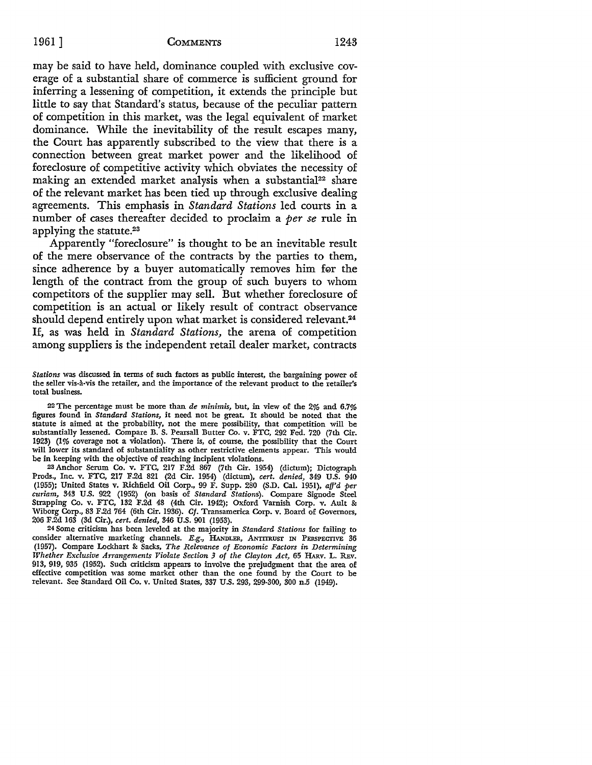may be said to have held, dominance coupled with exclusive coverage of a substantial share of commerce is sufficient ground for inferring a lessening of competition, it extends the principle but little to say that Standard's status, because of the peculiar pattern of competition in this market, was the legal equivalent of market dominance. While the inevitability of the result escapes many, the Court has apparently subscribed to the view that there is a connection between great market power and the likelihood of foreclosure of competitive activity which obviates the necessity of making an extended market analysis when a substantial<sup>22</sup> share of the relevant market has been tied up through exclusive dealing agreements. This emphasis in *Standard Stations* led courts in a number of cases thereafter decided to proclaim a *per se* rule in applying the statute.<sup>23</sup>

Apparently "foreclosure" is thought to be an inevitable result of the mere observance of the contracts by the parties to them, since adherence by a buyer automatically removes him for the length of the contract from the group of such buyers to whom competitors of the supplier may sell. But whether foreclosure of competition is an actual or likely result of contract observance should depend entirely upon what market is considered relevant.<sup>24</sup> If, as was held in *Standard Stations,* the arena of competition among suppliers is the independent retail dealer market, contracts

22 The percentage must be more than *de minimis,* but, in view of the 2% and 6.7% figures found in *Standard Stations,* it need not be great. It should be noted that the statute is aimed at the probability, not the mere possibility, that competition will be substantially lessened. Compare B. S. Pearsall Butter Co. v. FTC, 292 Fed. 720 (7th Cir. 1923) (1% coverage not a violation). There is, of course, the possibility that the Court will lower its standard of substantiality as other restrictive elements appear. This would be in keeping with the objective of reaching incipient violations.

23Anchor Serum Co. v. FTC, 217 F.2d 867 (7th Cir. 1954) (dictum); Dictograph Prods., Inc. v. FTC, 217 F.2d 821 (2d Cir. 1954) (dictum), *cert. denied,* 349 U.S. 940 (1955); United States v. Richfield Oil Corp., 99 F. Supp. 280 (S.D. Cal. 1951), *afj'd per curiam,* 343 U.S. 922 (1952) (on basis of *Standard Stations).* Compare Signode Steel Strapping Co. v. FTC, 132 F.2d 48 (4th Cir. 1942); Oxford Varnish Corp. v. Ault &: Wiborg Corp., 83 F.2d 764 (6th Cir. 1936). *Cf.* Transamerica Corp. v. Board of Governors, 206 F.2d 163 (3d Cir.), *cert. denied,* 346 U.S. 901 (1953).

24 Some criticism has been leveled at the majority in *Standard Stations* for failing to consider alternative marketing channels. *E.g.,* HANDLER, ANTITRUST IN PERSPECTIVE 36 (1957). Compare Lockhart &: Sacks, *The Relevance of Economic Factors in Determining Whether Exclusive Arrangements Violate Section 3 of the Clayton Act,* 65 HARV. L. REv. 913, 919, 935 (1952). Such criticism appears to involve the prejudgment that the area of effective competition was some market other than the one found by the Court to be relevant. See Standard Oil Co. v. United States, 337 U.S. 293, 299-300, 300 n.5 (1949).

*Stations* was discussed in terms of such factors as public interest, the bargaining power of the seller vis-a-vis the retailer, and the importance of the relevant product to the retailer's total business.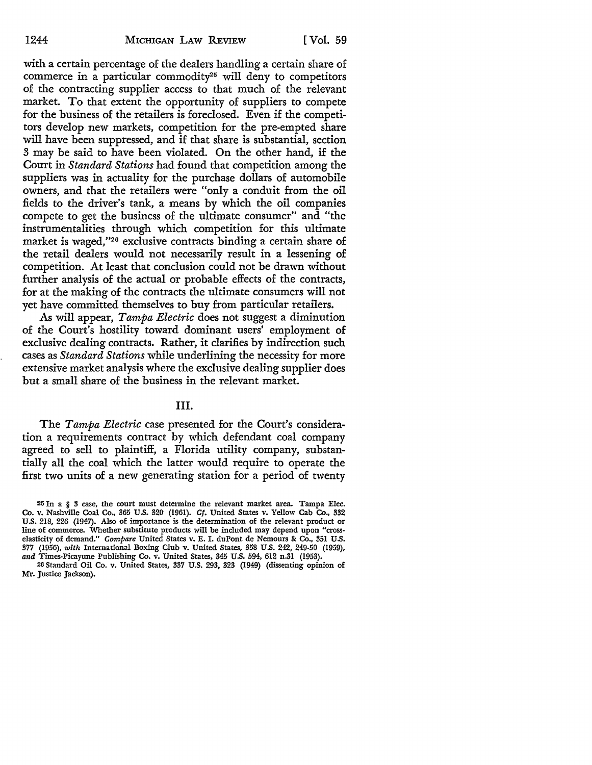with a certain percentage of the dealers handling a certain share of commerce in a particular commodity<sup>25</sup> will deny to competitors of the contracting supplier access to that much of the relevant market. To that extent the opportunity of suppliers to compete for the business of the retailers is foreclosed. Even if the competitors develop new markets, competition for the pre-empted share will have been suppressed, and if that share is substantial, section 3 may be said to have been violated. On the other hand, if the Court in *Standard Stations* had found that competition among the suppliers was in actuality for the purchase dollars of automobile owners, and that the retailers were "only a conduit from the oil fields to the driver's tank, a means by which the oil companies compete to get the business of the ultimate consumer" and "the instrumentalities through which competition for this ultimate market is waged,"26 exclusive contracts binding a certain share of the retail dealers would not necessarily result in a lessening of competition. At least that conclusion could not be drawn without further analysis of the actual or probable effects of the contracts, for at the making of the contracts the ultimate consumers will not yet have committed themselves to buy from particular retailers.

As will appear, *Tampa Electric* does not suggest a diminution of the Court's hostility toward dominant users' employment of exclusive dealing contracts. Rather, it clarifies by indirection such cases as *Standard Stations* while underlining the necessity for more extensive market analysis where the exclusive dealing supplier does but a small share of the business in the relevant market.

#### III.

The *Tampa Electric* case presented for the Court's consideration a requirements contract by which defendant coal company agreed to sell to plaintiff, a Florida utility company, substantially all the coal which the latter would require to operate the first two units of a new generating station for a period of twenty

<sup>25</sup> In a § 3 case, the court must determine the relevant market area. Tampa Elec. **Co. v.** Nashville Coal Co., 365 U.S. 320 (1961). Cf. United States v. Yellow Cab **Co., 332**  U.S. 218, 226 (1947). Also of importance is the determination of the relevant product or line of commerce. Whether substitute products will be included may depend upon "crosselasticity of demand." *Compare* United States v. E. I. duPont de Nemours &: Co., 351 U.S. 377 (1956), *with* International Boxing Club v. United States, 358 U.S. 242, 249-50 (1959), *and* Times-Picayune Publishing Co. v. United States, 345 U.S. 594, 612 n.31 (1953).

<sup>26</sup> Standard Oil Co. v. United States, 337 U.S. 293, 323 (1949) (dissenting opinion of Mr. Justice Jackson).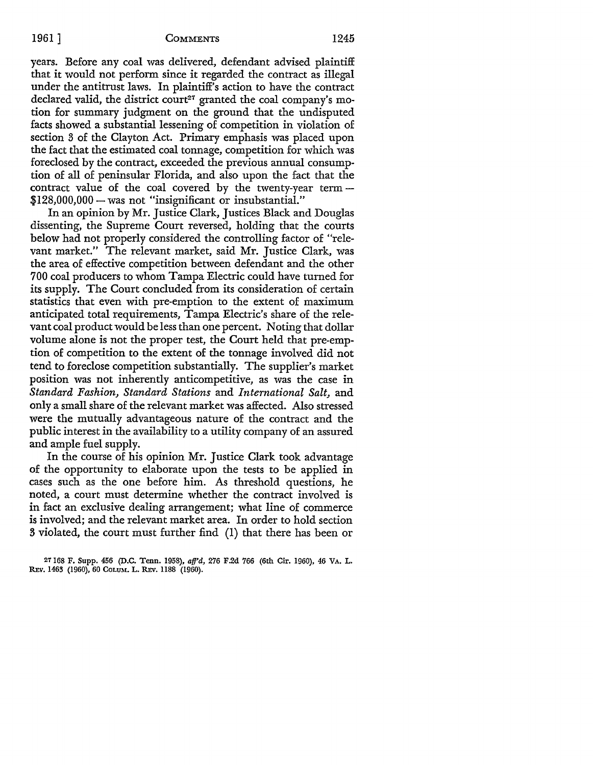years. Before any coal was delivered, defendant advised plaintiff that it would not perform since it regarded the contract as illegal under the antitrust laws. In plaintiff's action to have the contract declared valid, the district court<sup>27</sup> granted the coal company's motion for summary judgment on the ground that the undisputed facts showed a substantial lessening of competition in violation of section 3 of the Clayton Act. Primary emphasis was placed upon the fact that the estimated coal tonnage, competition for which was foreclosed by the contract, exceeded the previous annual consumption of all of peninsular Florida, and also upon the fact that the contract value of the coal covered by the twenty-year term  $$128,000,000$  - was not "insignificant or insubstantial."

In an opinion by Mr. Justice Clark, Justices Black and Douglas dissenting, the Supreme Court reversed, holding that the courts below had not properly considered the controlling factor of "relevant market." The relevant market, said Mr. Justice Clark, was the area of effective competition between defendant and the other 700 coal producers to whom Tampa Electric could have turned for its supply. The Court concluded from its consideration of certain statistics that even with pre-emption to the extent of maximum anticipated total requirements, Tampa Electric's share of the relevant coal product would be less than one percent. Noting that dollar volume alone is not the proper test, the Court held that pre-emption of competition to the extent of the tonnage involved did not tend to foreclose competition substantially. The supplier's market position was not inherently anticompetitive, as was the case in *Standard Fashion, Standard Stations* and *International Salt,* and only a small share of the relevant market was affected. Also stressed were the mutually advantageous nature of the contract and the public interest in the availability to a utility company of an assured and ample fuel supply.

In the course of his opinion Mr. Justice Clark took advantage of the opportunity to elaborate upon the tests to be applied in cases such as the one before him. As threshold questions, he noted, a court must determine whether the contract involved is in fact an exclusive dealing arrangement; what line of commerce is involved; and the relevant market area. In order to hold section 3 violated, the court must further find (1) that there has been or

<sup>27168</sup> F. Supp. 456 (D.C. Tenn. 1958), afj'd, 276 F.2d 766 (6th Cir. 1960), 46 VA. L. REv. 1463 (1960), 60 CoLuM. L. REv. 1188 (1960).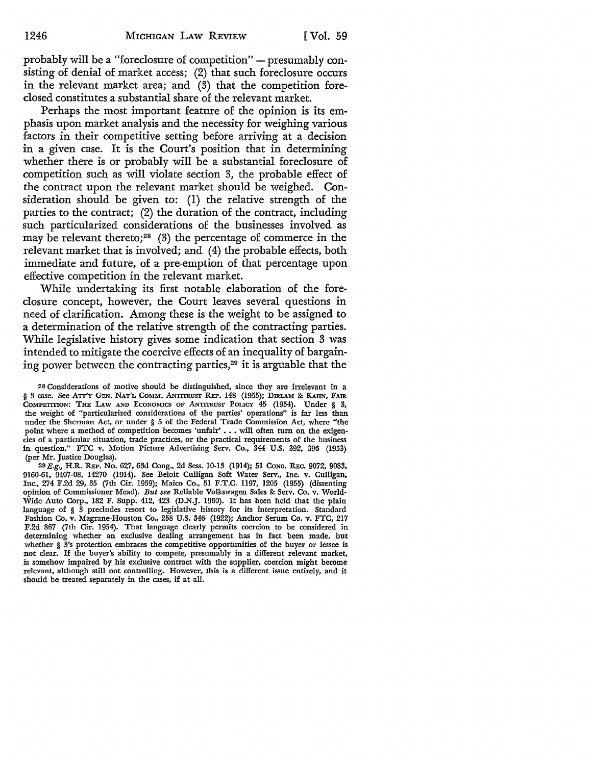probably will be a "foreclosure of competition" - presumably consisting of denial of market access; (2) that such foreclosure occurs in the relevant market area; and (3) that the competition foreclosed constitutes a substantial share of the relevant market.

Perhaps the most important feature of the opinion is its emphasis upon market analysis and the necessity for weighing various factors in their competitive setting before arriving at a decision in a given case. It is the Court's position that in determining whether there is or probably will be a substantial foreclosure of competition such as will violate section 3, the probable effect of the contract upon the relevant market should be weighed. Consideration should be given to: (I) the relative strength of the parties to the contract; (2) the duration of the contract, including such particularized considerations of the businesses involved as may be relevant thereto; $28$  (3) the percentage of commerce in the relevant market that is involved; and (4) the probable effects, both immediate and future, of a pre-emption of that percentage upon effective competition in the relevant market.

While undertaking its first notable elaboration of the foreclosure concept, however, the Court leaves several questions in need of clarification. Among these is the weight to be assigned to a determination of the relative strength of the contracting parties. While legislative history gives some indication that section 3 was intended to mitigate the coercive effects of an inequality of bargaining power between the contracting parties, $29$  it is arguable that the

<sup>28</sup> Considerations of motive should be distinguished, since they are irrelevant in a § 3 case. See ATT'Y GEN. NAT'L COMM. ANTITRUST REP. 148 (1955); DIRLAM & KAHN, FAIR COMPETITION: THE LAW AND ECONOMICS OF ANTITRUST POLICY 45 (1954). Under § 3, the weight of "particularized considerations of the parties' operations" is far less than under the Sherman Act, or under § 5 of the Federal Trade Commission Act, where "the point where a method of competition becomes 'unfair' . . . will often turn on the exigencies of a particular situation, trade practices, or the practical requirements of the business in question.'' FTC v. Motion Picture Advertising Serv. Co., 344 U.S. 392, 396 (1953) (per Mr. Justice Douglas).

<sup>29</sup>E.g., H.R. REP. No. 627, 63d Cong., 2d Sess. 10-13 (1914); 51 CONG. REc. 9072, 9083, 9160-61, 9407-08, 14270 (1914). See Beloit Culligan Soft Water Serv., Inc. v. Culligan, Inc., 274 F.2d 29, 35 (7th Cir. 1959); Maico Co., 51 F.T.C. 1197, 1205 (1955) (dissenting opinion of Commissioner Mead). *But see* Reliable Volkswagen Sales & Serv. Co. v. World-Wide Auto Corp., 182 F. Supp. 412, 423 (D.N.J. 1960). It has been held that the plain language of § 3 precludes resort to legislative history for its interpretation. Standard Fashion Co. v. Magrane-Houston Co., 258 U.S. 346 (1922); Anchor Serum Co. v. ITC, 217 F.2d 867 (7th Cir. 1954). That language clearly permits coercion to be considered in determining whether an exclusive dealing arrangement has in fact been made, but whether § 3's protection embraces the competitive opportunities of the buyer or lessee is not clear. If the buyer's ability to compete, presumably in a different relevant market, is somehow impaired by his exclusive contract with the supplier, coercion might become relevant, although still not controlling. However, this is a different issue entirely, and it should be treated separately in the cases, if at all.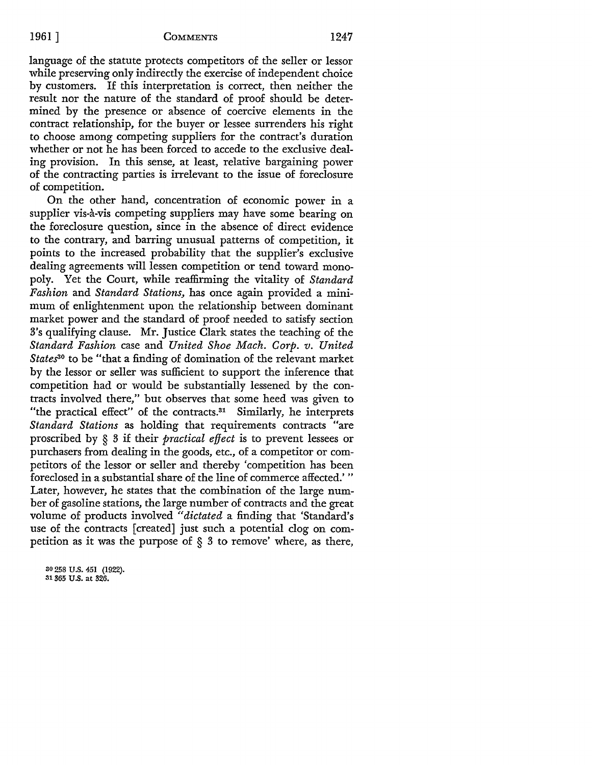language of the statute protects competitors of the seller or lessor while preserving only indirectly the exercise of independent choice by customers. If this interpretation is correct, then neither the result nor the nature of the standard of proof should be determined by the presence or absence of coercive elements in the contract relationship, for the buyer or lessee surrenders his right to choose among competing suppliers for the contract's duration whether or not he has been forced to accede to the exclusive dealing provision. In this sense, at least, relative bargaining power of the contracting parties is irrelevant to the issue of foreclosure of competition.

On the other hand, concentration of economic power in a supplier vis-à-vis competing suppliers may have some bearing on the foreclosure question, since in the absence of direct evidence to the contrary, and barring unusual patterns of competition, it points to the increased probability that the supplier's exclusive dealing agreements will lessen competition or tend toward monopoly. Yet the Court, while reaffirming the vitality of *Standard Fashion* and *Standard Stations,* has once again provided a minimum of enlightenment upon the relationship between dominant market power and the standard of proof needed to satisfy section 3's qualifying clause. Mr. Justice Clark states the teaching of the *Standard Fashion* case and *United Shoe Mach. Corp. v. United States3°* to be "that a finding of domination of the relevant market by the lessor or seller was sufficient to support the inference that competition had or would be substantially lessened by the contracts involved there," but observes that some heed was given to "the practical effect" of the contracts.<sup>31</sup> Similarly, he interprets *Standard Stations* as holding that requirements contracts "are proscribed by § 3 if their *practical effect* is to prevent lessees or purchasers from dealing in the goods, etc., of a competitor or competitors of the lessor or seller and thereby 'competition has been foreclosed in a substantial share of the line of commerce affected.' " Later, however, he states that the combination of the large number of gasoline stations, the large number of contracts and the great volume of products involved *"dictated* a finding that 'Standard's use of the contracts [ created] just such a potential clog on competition as it was the purpose of  $\S$  3 to remove' where, as there,

30 258 U.S. 451 (1922). 31 365 U.S. at 326.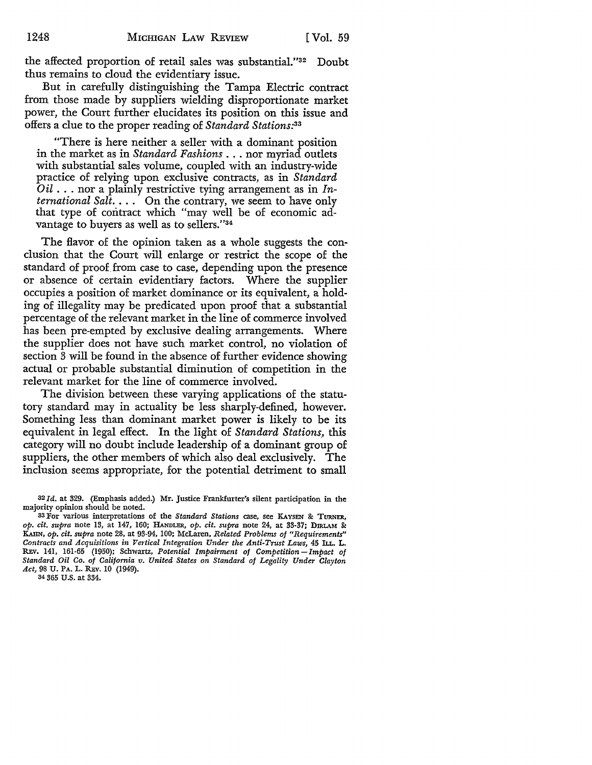the affected proportion of retail sales was substantial."32 Doubt thus remains to cloud the evidentiary issue.

But in carefully distinguishing the Tampa Electric contract from those made by suppliers wielding disproportionate market power, the Court further elucidates its position on this issue and offers a clue to the proper reading of *Standard Stations:33* 

"There is here neither a seller with a dominant position in the market as in *Standard Fashions .* .. nor myriad outlets with substantial sales volume, coupled with an industry-wide practice of relying upon exclusive contracts, as in *Standard Oil .* .. nor a plainly restrictive tying arrangement as in *International Salt.* . . . On the contrary, we seem to have only that type of contract which "may well be of economic advantage to buyers as well as to sellers."<sup>34</sup>

The flavor of the opinion taken as a whole suggests the conclusion that the Court will enlarge or restrict the scope of the standard of proof. from case to case, depending upon the presence or absence of certain evidentiary factors. Where the supplier occupies a position of market dominance or its equivalent, a holding of illegality may be predicated upon proof that a substantial percentage of the relevant market in the line of commerce involved has been pre-empted by exclusive dealing arrangements. Where the supplier does not have such market control, no violation of section 3 will be found in the absence of further evidence showing actual or probable substantial diminution of competition in the relevant market for the line of commerce involved.

The division between these varying applications of the statutory standard may in actuality be less sharply-defined, however. Something less than dominant market power is likely to be its equivalent in legal effect. In the light of *Standard Stations,* this category will no doubt include leadership of a dominant group of suppliers, the other members of which also deal exclusively. The inclusion seems appropriate, for the potential detriment to small

34 365 U.S. at 334.

<sup>32</sup> *Id.* at 329. (Emphasis added.) Mr. Justice Frankfurter's silent participation in the majority opinion should be noted.

<sup>33</sup> For various interpretations of the *Standard Stations* case, see KAYSEN &: TURNER, *op. cit. supra* note 13, at 147, 160; HANDLER, *op. cit. supra* note 24, at 33-37; DIRLAM &: KAHN, *op. cit. supra* note 28, at 93-94, 100; McLaren, *Related Problems of "Requirements" Contracts and Acquisitions in Vertical Integration Under the Anti-Trust Laws,* 45 ILL. L. REv. 141, 161-65 (1950); Schwartz, *Potential Impairment of Competition -Impact of Standard Oil Co. of California v. United States on Standard of Legality Under Clayton Act,* 98 U. PA. L. REv. IO (1949).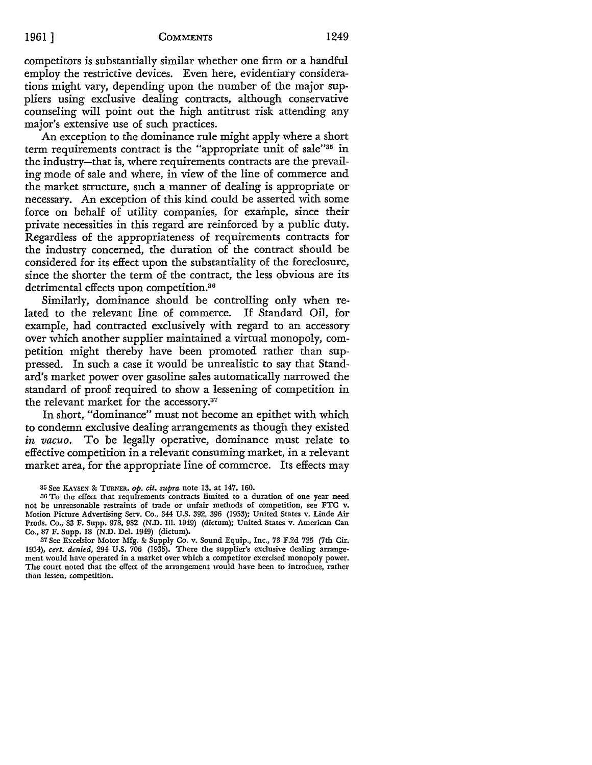competitors is substantially similar whether one firm or a handful employ the restrictive devices. Even here, evidentiary considerations might vary, depending upon the number of the major suppliers using exclusive dealing contracts, although conservative counseling will point out the high antitrust risk attending any major's extensive use of such practices.

An exception to the dominance rule might apply where a short term requirements contract is the "appropriate unit of sale"35 in the industry-that is, where requirements contracts are the prevailing mode of sale and where, in view of the line of commerce and the market structure, such a manner of dealing is appropriate or necessary. An exception of this kind could be asserted with some force on behalf of utility companies, for example, since their private necessities in this regard are reinforced by a public duty. Regardless of the appropriateness of requirements contracts for the industry concerned, the duration of the contract should be considered for its effect upon the substantiality of the foreclosure, since the shorter the term of the contract, the less obvious are its detrimental effects upon competition.36

Similarly, dominance should be controlling only when related to the relevant line of commerce. If Standard Oil, for example, had contracted exclusively with regard to an accessory over which another supplier maintained a virtual monopoly, competition might thereby have been promoted rather than suppressed. In such a case it would be unrealistic to say that Standard's market power over gasoline sales automatically narrowed the standard of proof required to show a lessening of competition in the relevant market for the accessory.<sup>37</sup>

In short, "dominance" must not become an epithet with which to condemn exclusive dealing arrangements as though they existed *in vacuo.* To be legally operative, dominance must relate to effective competition in a relevant consuming market, in a relevant market area, for the appropriate line of commerce. Its effects may

37 See Excelsior Motor Mfg. &: Supply Co. v. Sound Equip., Inc., 73 F.2d 725 (7th Cir. 1934), *cert. denied,* 294 U.S. 706 (1935). There the supplier's exclusive dealing arrangement would have operated in a market over which a competitor exercised monopoly power. The court noted that the effect of the arrangement would have been to introduce, rather than lessen, competition.

<sup>35</sup> See KAYsEN &: TURNER, *op. cit. supra* note 13, at 147, 160.

<sup>30</sup>To the effect that requirements contracts limited to a duration of one year need not be unreasonable restraints of trade or unfair methods of competition, see FTC v. Motion Picture Advertising Serv. Co., 344 U.S. 392, 396 (1953); United States v. Linde Air Prods. Co., 83 F. Supp. 978, 982 (N.D. Ill. 1949) (dictum); United States v. American Can Co., 87 F. Supp. 18 (N.D. Del. 1949) (dictum).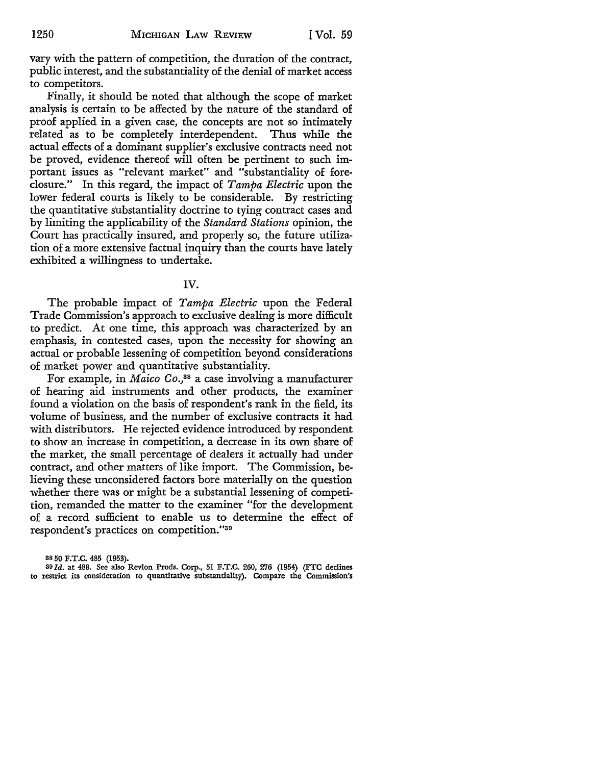vary with the pattern of competition, the duration of the contract, public interest, and the substantiality of the denial of market access to competitors.

Finally, it should be noted that although the scope of market analysis is certain to be affected by the nature of the standard of proof applied in a given case, the concepts are not so intimately related as to be completely interdependent. Thus while the actual effects of a dominant supplier's exclusive contracts need not be proved, evidence thereof will often be pertinent to such important issues as "relevant market" and "substantiality of foreclosure." In this regard, the impact of *Tampa Electric* upon the lower federal courts is likely to be considerable. By restricting the quantitative substantiality doctrine to tying contract cases and by limiting the applicability of the *Standard Stations* opinion, the Court has practically insured, and properly so, the future utilization of a more extensive factual inquiry than the courts have lately exhibited a willingness to undertake.

#### IV.

The probable impact of *Tampa Electric* upon the Federal Trade Commission's approach to exclusive dealing is more difficult to predict. At one time, this approach was characterized by an emphasis, in contested cases, upon the necessity for showing an actual or probable lessening of competition beyond considerations of market power and quantitative substantiality.

For example, in *Maico Co.*,<sup>38</sup> a case involving a manufacturer of hearing aid instruments and other products, the examiner found a violation on the basis of respondent's rank in the field, its volume of business, and the number of exclusive contracts it had with distributors. He rejected evidence introduced by respondent to show an increase in competition, a decrease in its own share of the market, the small percentage of dealers it actually had under contract, and other matters of like import. The Commission, believing these unconsidered factors bore materially on the question whether there was or might be a substantial lessening of competition, remanded the matter to the examiner "for the development of a record sufficient to enable us to determine the effect of respondent's practices on competition."39

ss 50 F.T.C. 485 (1953). 39 *Id.* at 488. See also Revlon Prods. Corp., 51 F.T.C. 260, 276 (1954) (FTC declines to restrict its consideration to quantitative substantiality). Compare the Commission's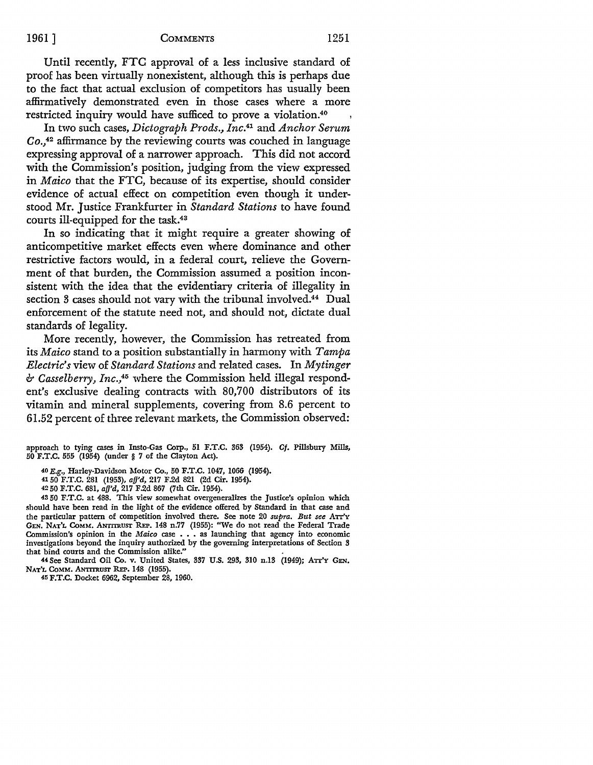Until recently, FTC approval of a less inclusive standard of proof has been virtually nonexistent, although this is perhaps due to the fact that actual exclusion of competitors has usually been affirmatively demonstrated even in those cases where a more restricted inquiry would have sufficed to prove a violation.40

In two such cases, *Dictograph Prods., Inc.41* and *Anchor Serum*   $Co<sub>1</sub>^{42}$  affirmance by the reviewing courts was couched in language expressing approval of a narrower approach. This did not accord with the Commission's position, judging from the view expressed in *Maico* that the FTC, because of its expertise, should consider evidence of actual effect on competition even though it understood Mr. Justice Frankfurter in *Standard Stations* to have found courts ill-equipped for the task.43

In so indicating that it might require a greater showing of anticompetitive market effects even where dominance and other restrictive factors would, in a federal court, relieve the Government of that burden, the Commission assumed a position inconsistent with the idea that the evidentiary criteria of illegality in section 3 cases should not vary with the tribunal involved.44 Dual enforcement of the statute need not, and should not, dictate dual standards of legality.

More recently, however, the Commission has retreated from its *Maico* stand to a position substantially in harmony with *Tampa Electric's* view of *Standard Stations* and related cases. In *Mytinger & Casselberry, Inc.,45* where the Commission held illegal respondent's exclusive dealing contracts with 80,700 distributors of its vitamin and mineral supplements, covering from 8.6 percent to 61.52 percent of three relevant markets, the Commission observed:

approach to tying cases in Insto-Gas Corp., 51 F.T.C. 363 (1954). Cf. Pillsbury Mills, 50 F.T.C. 555 (1954) (under § 7 of the Clayton Act).

40 E.g., Harley-Davidson Motor Co., 50 F.T.C. 1047, 1066 (1954).

4150 F.T.C. 281 (1953), afj'd, 217 F.2d 821 (2d Cir. 1954).

42 50 F.T.C. 681, afj'd, 217 F.2d 867 (7th Cir. 1954).

43 50 F.T.C. at 488. This view somewhat overgeneralizes the Justice's opinion which should have been read in the light of the evidence offered by Standard in that case and the particular pattern of competition involved there. See note 20 *supra. But see* An'Y GEN. NAT'L CoMM. ANTITRUST REP. 148 n.77 (1955): "We do not read the Federal Trade Commission's opinion in the *Maico* case • • • as launching that agency into economic investigations beyond the inquiry authorized by the governing interpretations of Section 3 that bind courts and the Commission alike."

**44** See Standard Oil Co. v. United States, 337 U.S. 293, 310 n.13 (1949); An'Y GEN. NAT'L CoMM. ANTITRUST REP. 148 (1955).

45 F.T.C. Docket 6962, September 28, 1960.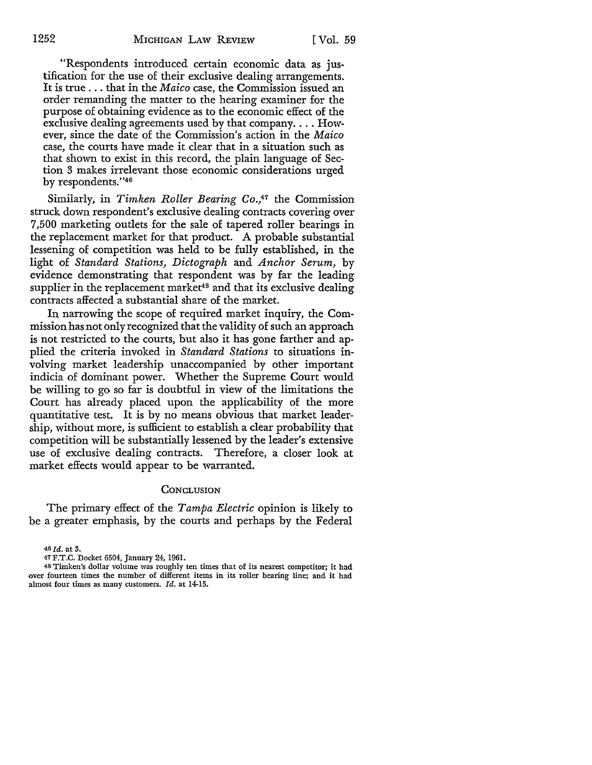"Respondents introduced certain economic data as justification for the use of their exclusive dealing arrangements. It is true ... that in the *Maico* case, the Commission issued an order remanding the matter to the hearing examiner for the purpose of obtaining evidence as to the economic effect of the exclusive dealing agreements used by that company.... However, since the date of the Commission's action in the *Maico*  case, the courts have made it clear that in a situation such as that shown to exist in this record, the plain language of Section 3 makes irrelevant those economic considerations urged by respondents."46

Similarly, in *Timken Roller Bearing Co.*,<sup>47</sup> the Commission struck down respondent's exclusive dealing contracts covering over 7,500 marketing outlets for the sale of tapered roller bearings in the replacement market for that product. A probable substantial lessening of competition was held to be fully established, in the light of *Standard Stations, Dictograph* and *Anchor Serum,* by evidence demonstrating that respondent was by far the leading supplier in the replacement market<sup>48</sup> and that its exclusive dealing contracts affected a substantial share of the market.

In narrowing the scope of required market inquiry, the Commission has not only recognized that the validity of such an approach is not restricted to the courts, but also it has gone farther and applied the criteria invoked in *Standard Stations* to situations involving market leadership unaccompanied by other important indicia of dominant power. Whether the Supreme Court would be willing to go so far is doubtful in view of the limitations the Court has already placed upon the applicability of the more quantitative test. It is by no means obvious that market leadership, without more, is sufficient to establish a clear probability that competition will be substantially lessened by the leader's extensive use of exclusive dealing contracts. Therefore, a closer look at market effects would appear to be warranted.

#### **CONCLUSION**

The primary effect of the *Tampa Electric* opinion is likely to be a greater emphasis, by the courts and perhaps by the Federal

46 *Id.* at 3.

47 F.T.C. Docket 6504, January 24, 1961.

<sup>48</sup> Timken's dollar volume was roughly ten times that of its nearest competitor; it had over fourteen times the number of different items in its roller bearing line; and it had almost four times as many customers. *Id.* at 14-15.